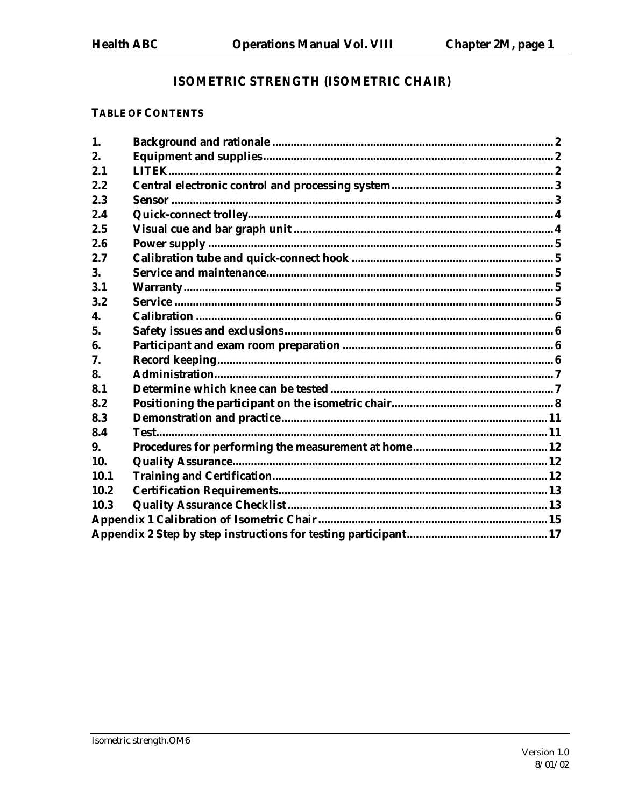# ISOMETRIC STRENGTH (ISOMETRIC CHAIR)

## **TABLE OF CONTENTS**

| 1.          |  |  |  |
|-------------|--|--|--|
| 2.          |  |  |  |
| 2.1         |  |  |  |
| 2.2         |  |  |  |
| 2.3         |  |  |  |
| 2.4         |  |  |  |
| 2.5         |  |  |  |
| 2.6         |  |  |  |
| 2.7         |  |  |  |
| 3.          |  |  |  |
| 3.1         |  |  |  |
| 3.2         |  |  |  |
| 4.          |  |  |  |
| 5.          |  |  |  |
| 6.          |  |  |  |
| 7.          |  |  |  |
| 8.          |  |  |  |
| 8.1         |  |  |  |
| 8.2         |  |  |  |
| 8.3         |  |  |  |
| 8.4         |  |  |  |
| 9.          |  |  |  |
| 10.         |  |  |  |
| <b>10.1</b> |  |  |  |
| 10.2        |  |  |  |
| 10.3        |  |  |  |
|             |  |  |  |
|             |  |  |  |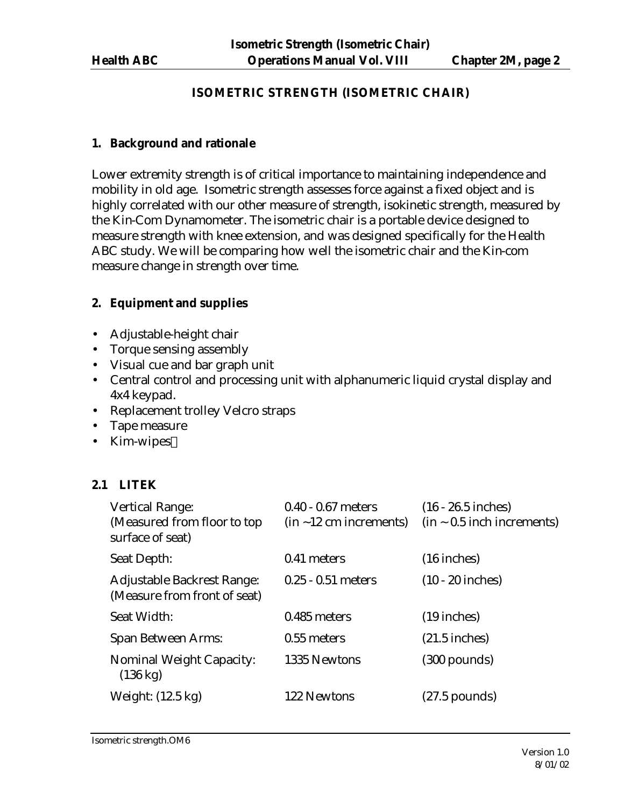## **ISOMETRIC STRENGTH (ISOMETRIC CHAIR)**

#### **1. Background and rationale**

Lower extremity strength is of critical importance to maintaining independence and mobility in old age. Isometric strength assesses force against a fixed object and is highly correlated with our other measure of strength, isokinetic strength, measured by the Kin-Com Dynamometer. The isometric chair is a portable device designed to measure strength with knee extension, and was designed specifically for the Health ABC study. We will be comparing how well the isometric chair and the Kin-com measure change in strength over time.

## **2. Equipment and supplies**

- Adjustable-height chair
- Torque sensing assembly
- Visual cue and bar graph unit
- Central control and processing unit with alphanumeric liquid crystal display and 4x4 keypad.
- Replacement trolley Velcro straps
- Tape measure
- Kim-wipes $TM$

# **2.1 LITEK**

| <b>Vertical Range:</b><br>(Measured from floor to top)<br>surface of seat) | $0.40 - 0.67$ meters<br>$(in -12 cm increments)$ | $(16 - 26.5$ inches)<br>$(in ~ 0.5$ inch increments) |
|----------------------------------------------------------------------------|--------------------------------------------------|------------------------------------------------------|
| Seat Depth:                                                                | 0.41 meters                                      | $(16$ inches)                                        |
| Adjustable Backrest Range:<br>(Measure from front of seat)                 | $0.25 - 0.51$ meters                             | $(10 - 20$ inches)                                   |
| Seat Width:                                                                | 0.485 meters                                     | $(19$ inches)                                        |
| <b>Span Between Arms:</b>                                                  | 0.55 meters                                      | $(21.5$ inches)                                      |
| <b>Nominal Weight Capacity:</b><br>$(136 \text{ kg})$                      | 1335 Newtons                                     | $(300$ pounds)                                       |
| Weight: (12.5 kg)                                                          | 122 Newtons                                      | $(27.5$ pounds)                                      |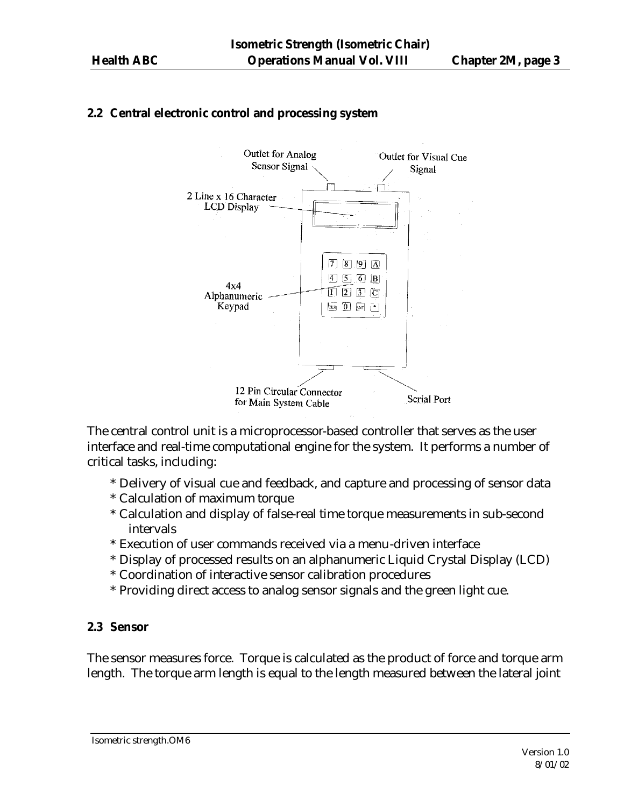# **2.2 Central electronic control and processing system**



The central control unit is a microprocessor-based controller that serves as the user interface and real-time computational engine for the system. It performs a number of critical tasks, including:

- \* Delivery of visual cue and feedback, and capture and processing of sensor data
- \* Calculation of maximum torque
- \* Calculation and display of false-real time torque measurements in sub-second intervals
- \* Execution of user commands received via a menu-driven interface
- \* Display of processed results on an alphanumeric Liquid Crystal Display (LCD)
- \* Coordination of interactive sensor calibration procedures
- \* Providing direct access to analog sensor signals and the green light cue.

#### **2.3 Sensor**

The sensor measures force. Torque is calculated as the product of force and torque arm length. The torque arm length is equal to the length measured between the lateral joint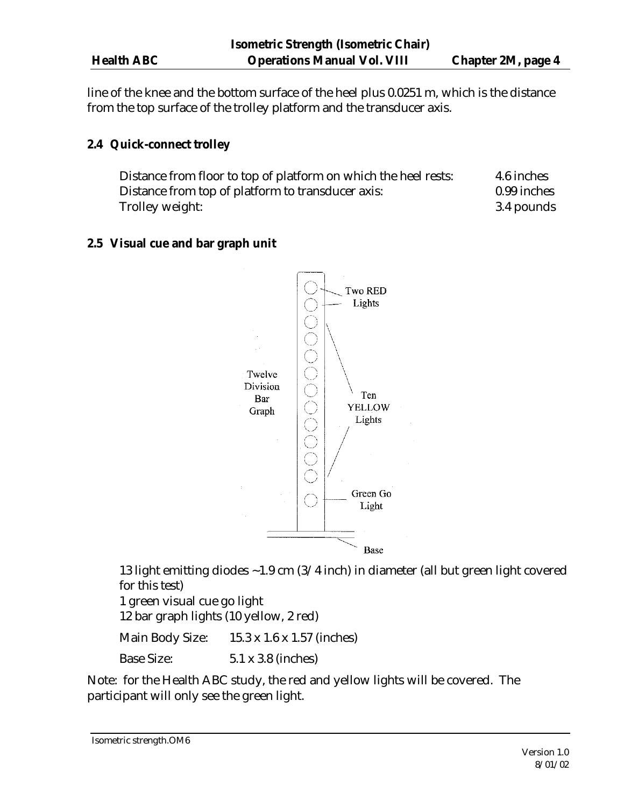line of the knee and the bottom surface of the heel plus 0.0251 m, which is the distance from the top surface of the trolley platform and the transducer axis.

## **2.4 Quick-connect trolley**

Distance from floor to top of platform on which the heel rests: 4.6 inches Distance from top of platform to transducer axis: 0.99 inches Trolley weight: 3.4 pounds

## **2.5 Visual cue and bar graph unit**



13 light emitting diodes ~1.9 cm (3/4 inch) in diameter (all but green light covered for this test) 1 green visual cue go light

12 bar graph lights (10 yellow, 2 red)

Main Body Size: 15.3 x 1.6 x 1.57 (inches)

Base Size: 5.1 x 3.8 (inches)

Note: for the Health ABC study, the red and yellow lights will be covered. The participant will only see the green light.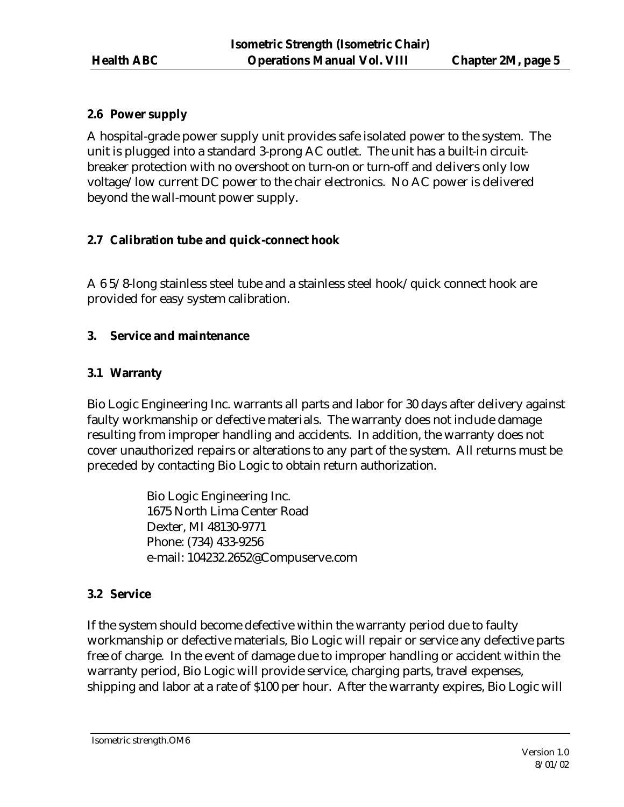## **2.6 Power supply**

A hospital-grade power supply unit provides safe isolated power to the system. The unit is plugged into a standard 3-prong AC outlet. The unit has a built-in circuitbreaker protection with no overshoot on turn-on or turn-off and delivers only low voltage/low current DC power to the chair electronics. No AC power is delivered beyond the wall-mount power supply.

## **2.7 Calibration tube and quick-connect hook**

A 6 5/8-long stainless steel tube and a stainless steel hook/quick connect hook are provided for easy system calibration.

## **3. Service and maintenance**

## **3.1 Warranty**

Bio Logic Engineering Inc. warrants all parts and labor for 30 days after delivery against faulty workmanship or defective materials. The warranty does not include damage resulting from improper handling and accidents. In addition, the warranty does not cover unauthorized repairs or alterations to any part of the system. All returns must be preceded by contacting Bio Logic to obtain return authorization.

> Bio Logic Engineering Inc. 1675 North Lima Center Road Dexter, MI 48130-9771 Phone: (734) 433-9256 e-mail: 104232.2652@Compuserve.com

## **3.2 Service**

If the system should become defective within the warranty period due to faulty workmanship or defective materials, Bio Logic will repair or service any defective parts free of charge. In the event of damage due to improper handling or accident within the warranty period, Bio Logic will provide service, charging parts, travel expenses, shipping and labor at a rate of \$100 per hour. After the warranty expires, Bio Logic will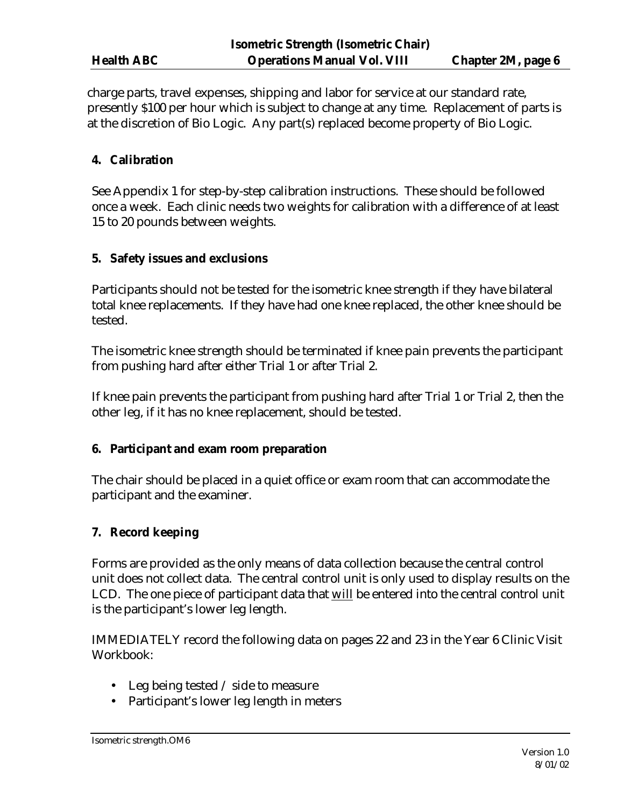charge parts, travel expenses, shipping and labor for service at our standard rate, presently \$100 per hour which is subject to change at any time. Replacement of parts is at the discretion of Bio Logic. Any part(s) replaced become property of Bio Logic.

## **4. Calibration**

See Appendix 1 for step-by-step calibration instructions. These should be followed once a week. Each clinic needs two weights for calibration with a difference of at least 15 to 20 pounds between weights.

## **5. Safety issues and exclusions**

Participants should not be tested for the isometric knee strength if they have bilateral total knee replacements. If they have had one knee replaced, the other knee should be tested.

The isometric knee strength should be terminated if knee pain prevents the participant from pushing hard after either Trial 1 or after Trial 2.

If knee pain prevents the participant from pushing hard after Trial 1 or Trial 2, then the other leg, if it has no knee replacement, should be tested.

## **6. Participant and exam room preparation**

The chair should be placed in a quiet office or exam room that can accommodate the participant and the examiner.

## **7. Record keeping**

Forms are provided as the only means of data collection because the central control unit does not collect data. The central control unit is only used to display results on the LCD. The one piece of participant data that will be entered into the central control unit is the participant's lower leg length.

IMMEDIATELY record the following data on pages 22 and 23 in the Year 6 Clinic Visit Workbook:

- Leg being tested / side to measure
- Participant's lower leg length in meters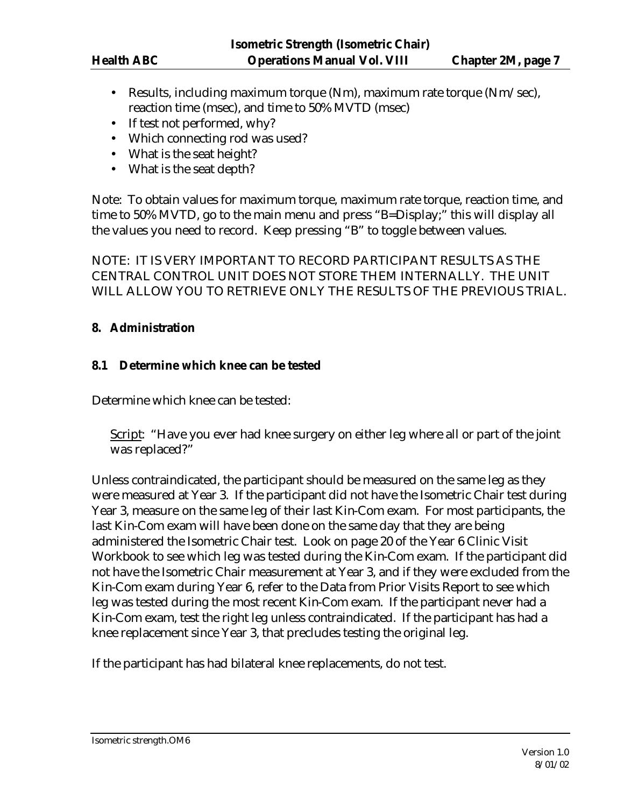- Results, including maximum torque (Nm), maximum rate torque (Nm/sec), reaction time (msec), and time to 50% MVTD (msec)
- If test not performed, why?
- Which connecting rod was used?
- What is the seat height?
- What is the seat depth?

Note: To obtain values for maximum torque, maximum rate torque, reaction time, and time to 50% MVTD, go to the main menu and press "B=Display;" this will display all the values you need to record. Keep pressing "B" to toggle between values.

NOTE: IT IS VERY IMPORTANT TO RECORD PARTICIPANT RESULTS AS THE CENTRAL CONTROL UNIT DOES NOT STORE THEM INTERNALLY. THE UNIT WILL ALLOW YOU TO RETRIEVE ONLY THE RESULTS OF THE PREVIOUS TRIAL.

## **8. Administration**

## **8.1 Determine which knee can be tested**

Determine which knee can be tested:

Script: "Have you ever had knee surgery on either leg where all or part of the joint was replaced?"

Unless contraindicated, the participant should be measured on the same leg as they were measured at Year 3. If the participant did not have the Isometric Chair test during Year 3, measure on the same leg of their last Kin-Com exam. For most participants, the last Kin-Com exam will have been done on the same day that they are being administered the Isometric Chair test. Look on page 20 of the Year 6 Clinic Visit Workbook to see which leg was tested during the Kin-Com exam. If the participant did not have the Isometric Chair measurement at Year 3, and if they were excluded from the Kin-Com exam during Year 6, refer to the Data from Prior Visits Report to see which leg was tested during the most recent Kin-Com exam. If the participant never had a Kin-Com exam, test the right leg unless contraindicated. If the participant has had a knee replacement since Year 3, that precludes testing the original leg.

If the participant has had bilateral knee replacements, do not test.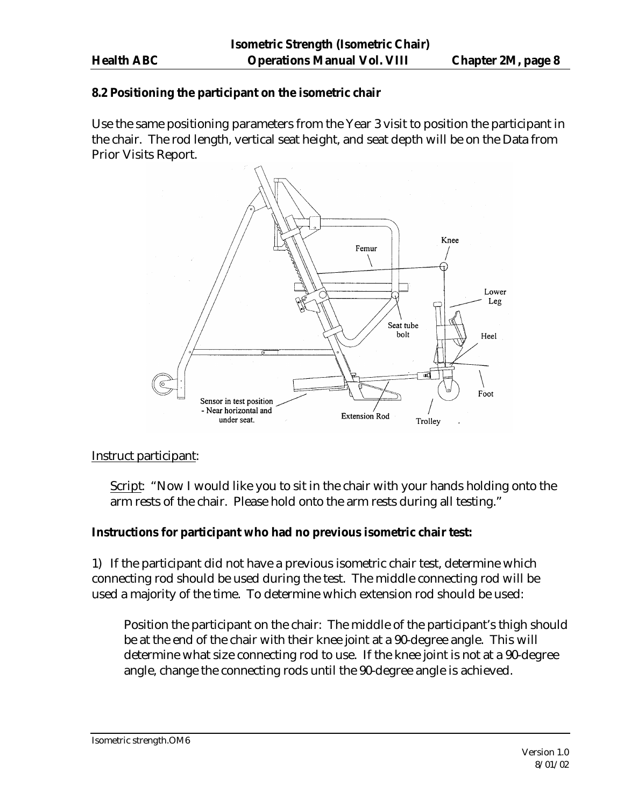#### **8.2 Positioning the participant on the isometric chair**

Use the same positioning parameters from the Year 3 visit to position the participant in the chair. The rod length, vertical seat height, and seat depth will be on the Data from Prior Visits Report.



Instruct participant:

Script: "Now I would like you to sit in the chair with your hands holding onto the arm rests of the chair. Please hold onto the arm rests during all testing."

#### **Instructions for participant who had no previous isometric chair test:**

1) If the participant did not have a previous isometric chair test, determine which connecting rod should be used during the test. The middle connecting rod will be used a majority of the time. To determine which extension rod should be used:

Position the participant on the chair: The middle of the participant's thigh should be at the end of the chair with their knee joint at a 90-degree angle. This will determine what size connecting rod to use. If the knee joint is not at a 90-degree angle, change the connecting rods until the 90-degree angle is achieved.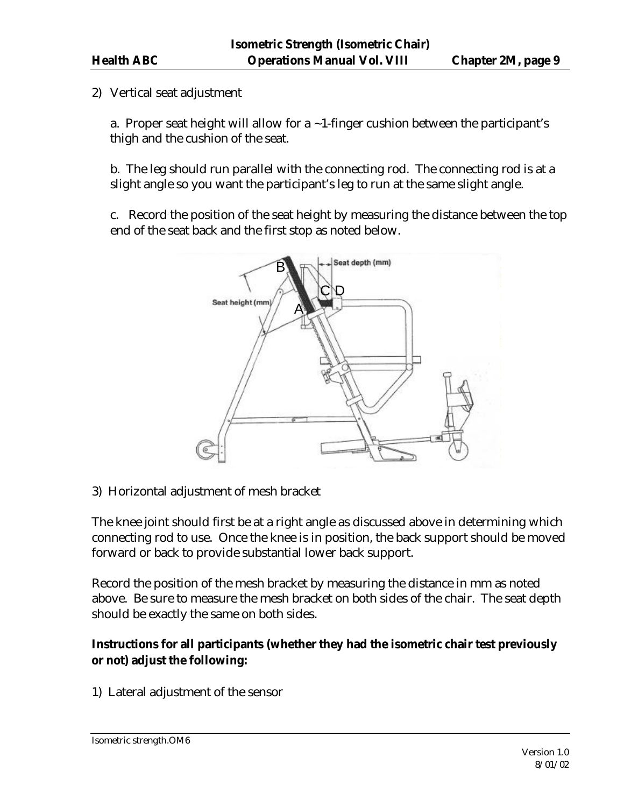2) Vertical seat adjustment

a. Proper seat height will allow for a  $\sim$  1-finger cushion between the participant's thigh and the cushion of the seat.

b. The leg should run parallel with the connecting rod. The connecting rod is at a slight angle so you want the participant's leg to run at the same slight angle.

c. Record the position of the seat height by measuring the distance between the top end of the seat back and the first stop as noted below.



3) Horizontal adjustment of mesh bracket

The knee joint should first be at a right angle as discussed above in determining which connecting rod to use. Once the knee is in position, the back support should be moved forward or back to provide substantial lower back support.

Record the position of the mesh bracket by measuring the distance in mm as noted above. Be sure to measure the mesh bracket on both sides of the chair. The seat depth should be exactly the same on both sides.

## **Instructions for all participants (whether they had the isometric chair test previously or not) adjust the following:**

1) Lateral adjustment of the sensor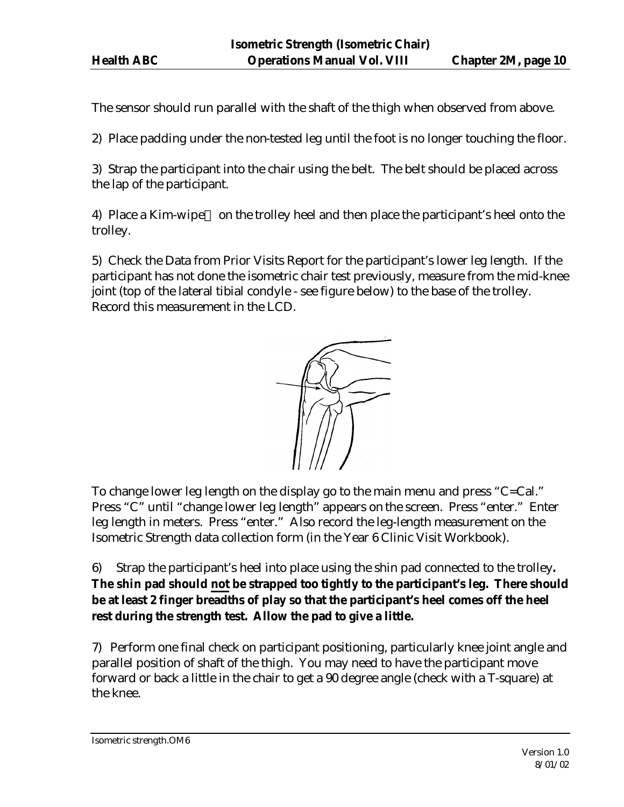The sensor should run parallel with the shaft of the thigh when observed from above.

2) Place padding under the non-tested leg until the foot is no longer touching the floor.

3) Strap the participant into the chair using the belt. The belt should be placed across the lap of the participant.

4) Place a Kim-wipe<sup> $TM$ </sup> on the trolley heel and then place the participant's heel onto the trolley.

5) Check the Data from Prior Visits Report for the participant's lower leg length. If the participant has not done the isometric chair test previously, measure from the mid-knee joint (top of the lateral tibial condyle - see figure below) to the base of the trolley. Record this measurement in the LCD.



To change lower leg length on the display go to the main menu and press "C=Cal." Press "C" until "change lower leg length" appears on the screen. Press "enter." Enter leg length in meters. Press "enter." Also record the leg-length measurement on the Isometric Strength data collection form (in the Year 6 Clinic Visit Workbook).

6) Strap the participant's heel into place using the shin pad connected to the trolley**. The shin pad should not be strapped too tightly to the participant's leg. There should be at least 2 finger breadths of play so that the participant's heel comes off the heel rest during the strength test. Allow the pad to give a little.**

7) Perform one final check on participant positioning, particularly knee joint angle and parallel position of shaft of the thigh. You may need to have the participant move forward or back a little in the chair to get a 90 degree angle (check with a T-square) at the knee.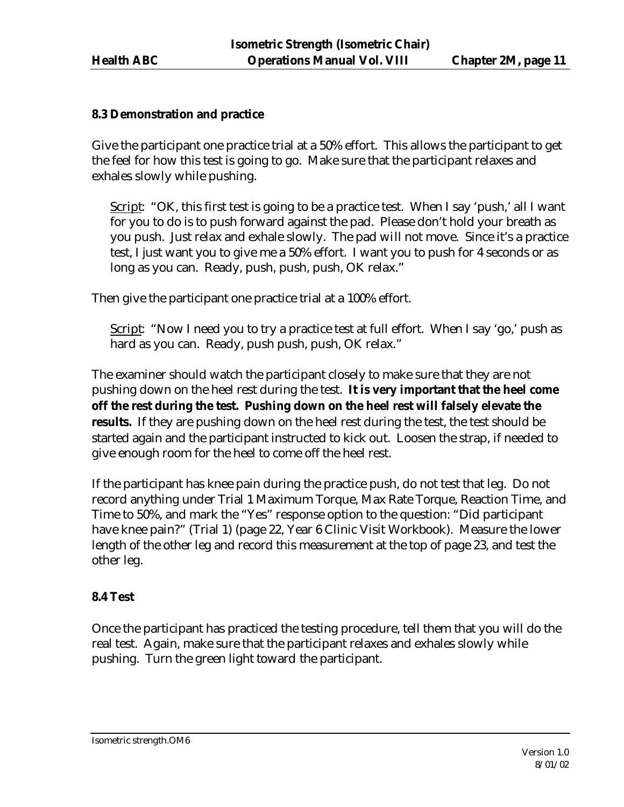#### **8.3 Demonstration and practice**

Give the participant one practice trial at a 50% effort. This allows the participant to get the feel for how this test is going to go. Make sure that the participant relaxes and exhales slowly while pushing.

Script: "OK, this first test is going to be a practice test. When I say 'push,' all I want for you to do is to push forward against the pad. Please don't hold your breath as you push. Just relax and exhale slowly. The pad will not move. Since it's a practice test, I just want you to give me a 50% effort. I want you to push for 4 seconds or as long as you can. Ready, push, push, push, OK relax."

Then give the participant one practice trial at a 100% effort.

Script: "Now I need you to try a practice test at full effort. When I say 'go,' push as hard as you can. Ready, push push, push, OK relax."

The examiner should watch the participant closely to make sure that they are not pushing down on the heel rest during the test. **It is very important that the heel come off the rest during the test. Pushing down on the heel rest will falsely elevate the results.** If they are pushing down on the heel rest during the test, the test should be started again and the participant instructed to kick out. Loosen the strap, if needed to give enough room for the heel to come off the heel rest.

If the participant has knee pain during the practice push, do not test that leg. Do not record anything under Trial 1 Maximum Torque, Max Rate Torque, Reaction Time, and Time to 50%, and mark the "Yes" response option to the question: "Did participant have knee pain?" (Trial 1) (page 22, Year 6 Clinic Visit Workbook). Measure the lower length of the other leg and record this measurement at the top of page 23, and test the other leg.

## **8.4 Test**

Once the participant has practiced the testing procedure, tell them that you will do the real test. Again, make sure that the participant relaxes and exhales slowly while pushing. Turn the green light toward the participant.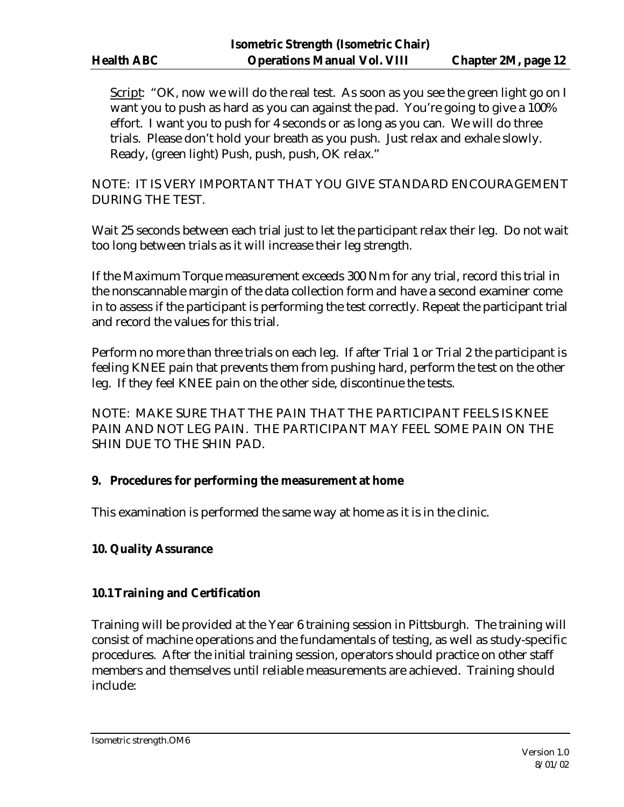Script: "OK, now we will do the real test. As soon as you see the green light go on I want you to push as hard as you can against the pad. You're going to give a 100% effort. I want you to push for 4 seconds or as long as you can. We will do three trials. Please don't hold your breath as you push. Just relax and exhale slowly. Ready, (green light) Push, push, push, OK relax."

NOTE: IT IS VERY IMPORTANT THAT YOU GIVE STANDARD ENCOURAGEMENT DURING THE TEST.

Wait 25 seconds between each trial just to let the participant relax their leg. Do not wait too long between trials as it will increase their leg strength.

If the Maximum Torque measurement exceeds 300 Nm for any trial, record this trial in the nonscannable margin of the data collection form and have a second examiner come in to assess if the participant is performing the test correctly. Repeat the participant trial and record the values for this trial.

Perform no more than three trials on each leg. If after Trial 1 or Trial 2 the participant is feeling KNEE pain that prevents them from pushing hard, perform the test on the other leg. If they feel KNEE pain on the other side, discontinue the tests.

NOTE: MAKE SURE THAT THE PAIN THAT THE PARTICIPANT FEELS IS KNEE PAIN AND NOT LEG PAIN. THE PARTICIPANT MAY FEEL SOME PAIN ON THE SHIN DUE TO THE SHIN PAD.

## **9. Procedures for performing the measurement at home**

This examination is performed the same way at home as it is in the clinic.

## **10. Quality Assurance**

## **10.1Training and Certification**

Training will be provided at the Year 6 training session in Pittsburgh. The training will consist of machine operations and the fundamentals of testing, as well as study-specific procedures. After the initial training session, operators should practice on other staff members and themselves until reliable measurements are achieved. Training should include: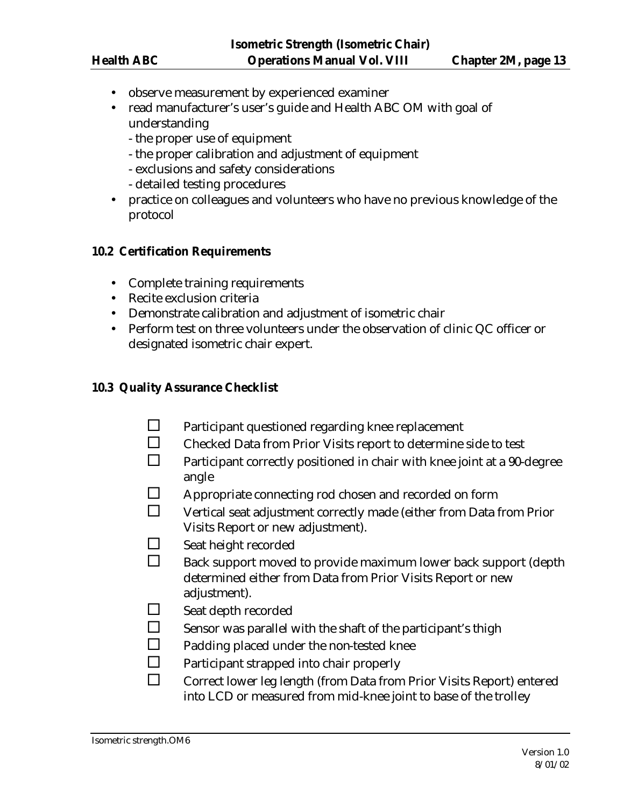- observe measurement by experienced examiner
- read manufacturer's user's guide and Health ABC OM with goal of understanding
	- the proper use of equipment
	- the proper calibration and adjustment of equipment
	- exclusions and safety considerations
	- detailed testing procedures
- practice on colleagues and volunteers who have no previous knowledge of the protocol

#### **10.2 Certification Requirements**

- Complete training requirements
- Recite exclusion criteria
- Demonstrate calibration and adjustment of isometric chair
- Perform test on three volunteers under the observation of clinic QC officer or designated isometric chair expert.

#### **10.3 Quality Assurance Checklist**

- $\square$  Participant questioned regarding knee replacement
- $\square$  Checked Data from Prior Visits report to determine side to test
- $\Box$  Participant correctly positioned in chair with knee joint at a 90-degree angle
- $\square$  Appropriate connecting rod chosen and recorded on form
- $\square$  Vertical seat adjustment correctly made (either from Data from Prior Visits Report or new adjustment).
- $\Box$  Seat height recorded
- $\square$  Back support moved to provide maximum lower back support (depth determined either from Data from Prior Visits Report or new adjustment).
- $\Box$  Seat depth recorded
- $\square$  Sensor was parallel with the shaft of the participant's thigh
- $\square$  Padding placed under the non-tested knee
- $\square$  Participant strapped into chair properly
- $\square$  Correct lower leg length (from Data from Prior Visits Report) entered into LCD or measured from mid-knee joint to base of the trolley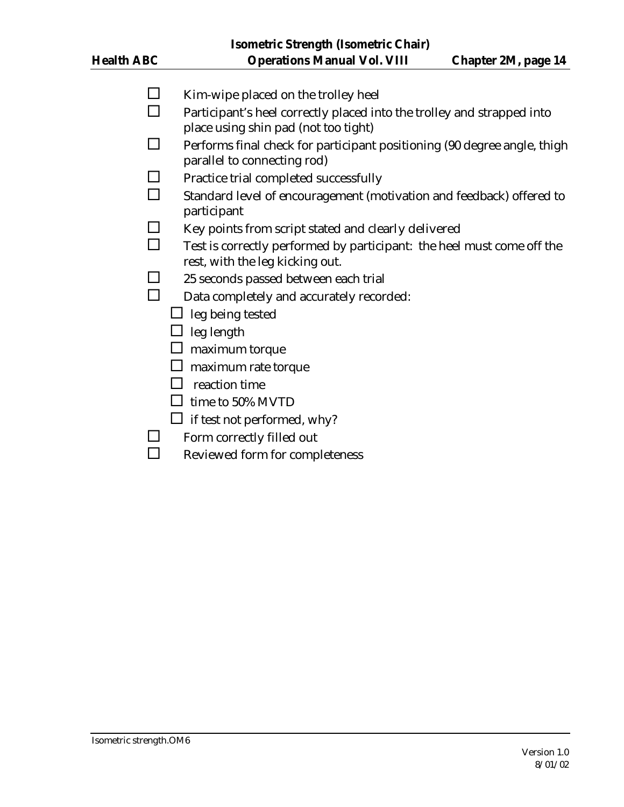- $\square$  Kim-wipe placed on the trolley heel
- $\Box$  Participant's heel correctly placed into the trolley and strapped into place using shin pad (not too tight)
- $\Box$  Performs final check for participant positioning (90 degree angle, thigh parallel to connecting rod)
- $\square$  Practice trial completed successfully
- $\square$  Standard level of encouragement (motivation and feedback) offered to participant
- $\square$  Key points from script stated and clearly delivered
- $\Box$  Test is correctly performed by participant: the heel must come off the rest, with the leg kicking out.
- $\square$  25 seconds passed between each trial
- $\square$  Data completely and accurately recorded:
	- $\Box$  leg being tested
	- $\Box$  leg length
	- $\Box$  maximum torque
	- $\square$  maximum rate torque
	- $\square$  reaction time
	- $\Box$  time to 50% MVTD
	- $\Box$  if test not performed, why?
- $\square$  Form correctly filled out
- $\square$  Reviewed form for completeness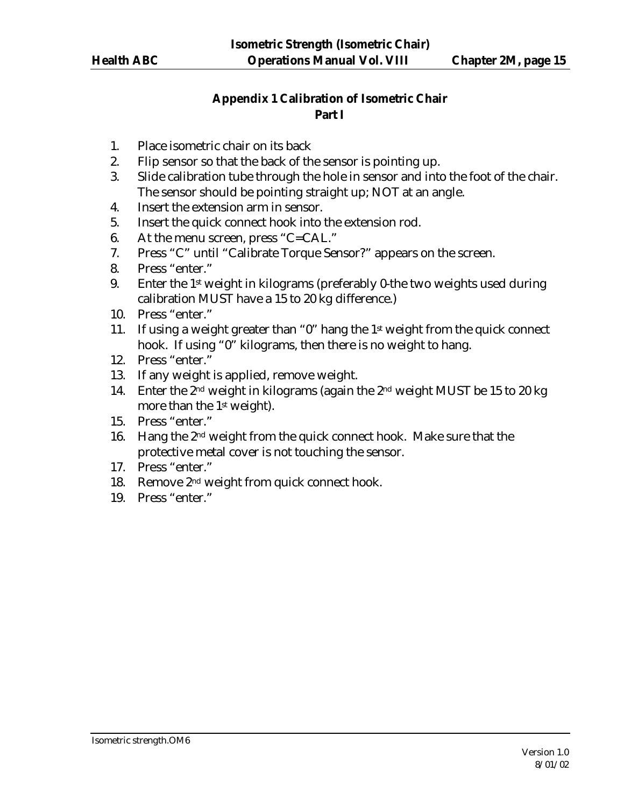## **Appendix 1 Calibration of Isometric Chair Part I**

- 1. Place isometric chair on its back
- 2. Flip sensor so that the back of the sensor is pointing up.
- 3. Slide calibration tube through the hole in sensor and into the foot of the chair. The sensor should be pointing straight up; NOT at an angle.
- 4. Insert the extension arm in sensor.
- 5. Insert the quick connect hook into the extension rod.
- 6. At the menu screen, press "C=CAL."
- 7. Press "C" until "Calibrate Torque Sensor?" appears on the screen.
- 8. Press "enter."
- 9. Enter the 1<sup>st</sup> weight in kilograms (preferably 0-the two weights used during calibration MUST have a 15 to 20 kg difference.)
- 10. Press "enter."
- 11. If using a weight greater than "0" hang the  $1<sup>st</sup>$  weight from the quick connect hook. If using "0" kilograms, then there is no weight to hang.
- 12. Press "enter."
- 13. If any weight is applied, remove weight.
- 14. Enter the 2nd weight in kilograms (again the 2nd weight MUST be 15 to 20 kg more than the 1<sup>st</sup> weight).
- 15. Press "enter."
- 16. Hang the 2nd weight from the quick connect hook. Make sure that the protective metal cover is not touching the sensor.
- 17. Press "enter."
- 18. Remove 2nd weight from quick connect hook.
- 19. Press "enter."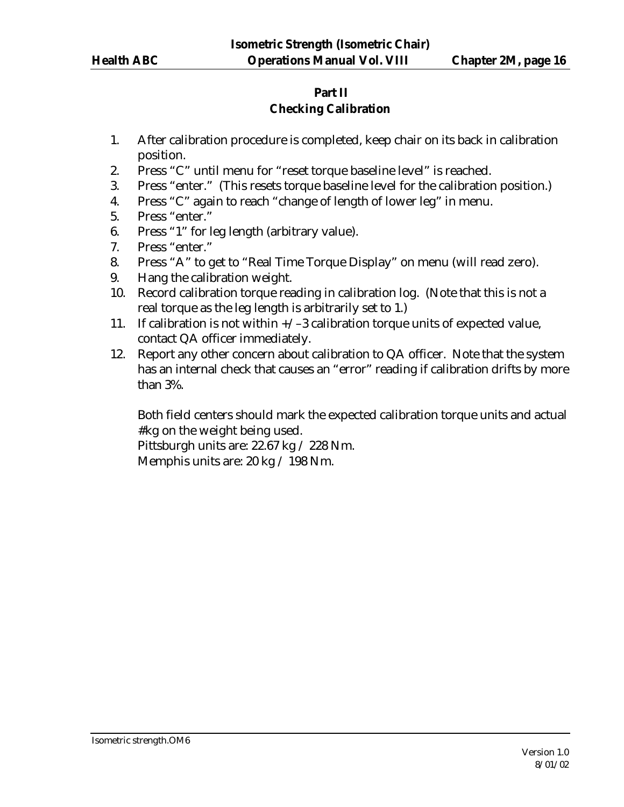# **Part II**

## **Checking Calibration**

- 1. After calibration procedure is completed, keep chair on its back in calibration position.
- 2. Press "C" until menu for "reset torque baseline level" is reached.
- 3. Press "enter." (This resets torque baseline level for the calibration position.)
- 4. Press "C" again to reach "change of length of lower leg" in menu.
- 5. Press "enter."
- 6. Press "1" for leg length (arbitrary value).
- 7. Press "enter."
- 8. Press "A" to get to "Real Time Torque Display" on menu (will read zero).
- 9. Hang the calibration weight.
- 10. Record calibration torque reading in calibration log. (Note that this is not a real torque as the leg length is arbitrarily set to 1.)
- 11. If calibration is not within  $+\sqrt{-3}$  calibration torque units of expected value, contact QA officer immediately.
- 12. Report any other concern about calibration to QA officer. Note that the system has an internal check that causes an "error" reading if calibration drifts by more than 3%.

Both field centers should mark the expected calibration torque units and actual #kg on the weight being used.

Pittsburgh units are: 22.67 kg / 228 Nm.

Memphis units are: 20 kg / 198 Nm.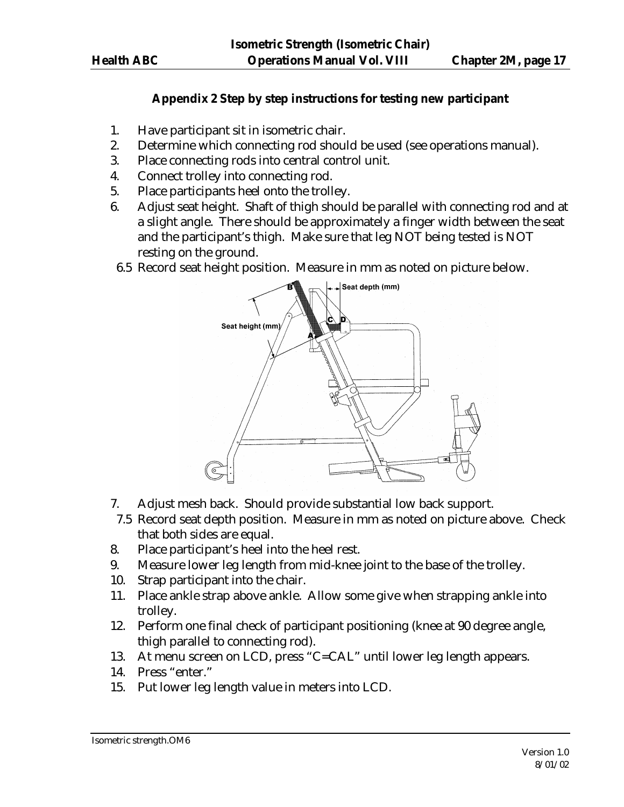## **Appendix 2 Step by step instructions for testing new participant**

- 1. Have participant sit in isometric chair.
- 2. Determine which connecting rod should be used (see operations manual).
- 3. Place connecting rods into central control unit.
- 4. Connect trolley into connecting rod.
- 5. Place participants heel onto the trolley.
- 6. Adjust seat height. Shaft of thigh should be parallel with connecting rod and at a slight angle. There should be approximately a finger width between the seat and the participant's thigh. Make sure that leg NOT being tested is NOT resting on the ground.
- 6.5 Record seat height position. Measure in mm as noted on picture below.



- 7. Adjust mesh back. Should provide substantial low back support.
- 7.5 Record seat depth position. Measure in mm as noted on picture above. Check that both sides are equal.
- 8. Place participant's heel into the heel rest.
- 9. Measure lower leg length from mid-knee joint to the base of the trolley.
- 10. Strap participant into the chair.
- 11. Place ankle strap above ankle. Allow some give when strapping ankle into trolley.
- 12. Perform one final check of participant positioning (knee at 90 degree angle, thigh parallel to connecting rod).
- 13. At menu screen on LCD, press "C=CAL" until lower leg length appears.
- 14. Press "enter."
- 15. Put lower leg length value in meters into LCD.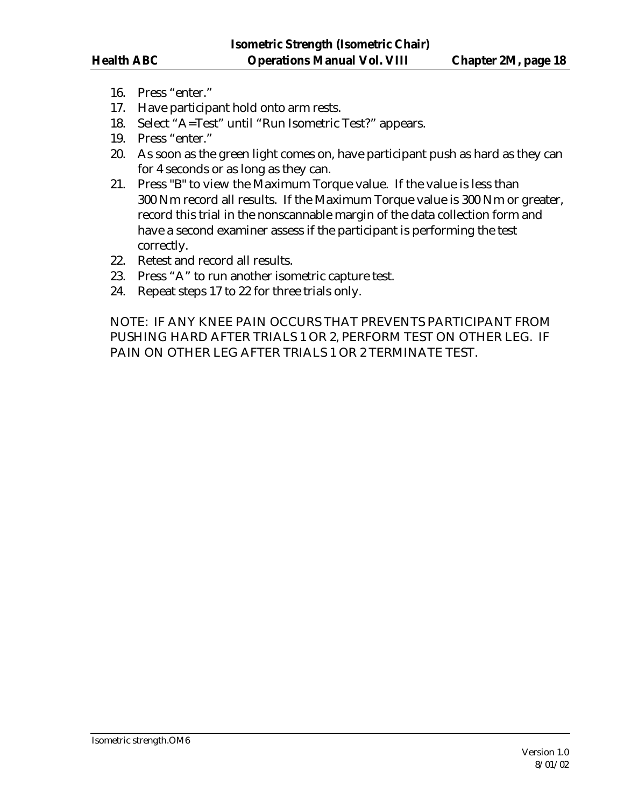- 16. Press "enter."
- 17. Have participant hold onto arm rests.
- 18. Select "A=Test" until "Run Isometric Test?" appears.
- 19. Press "enter."
- 20. As soon as the green light comes on, have participant push as hard as they can for 4 seconds or as long as they can.
- 21. Press "B" to view the Maximum Torque value. If the value is less than 300 Nm record all results. If the Maximum Torque value is 300 Nm or greater, record this trial in the nonscannable margin of the data collection form and have a second examiner assess if the participant is performing the test correctly.
- 22. Retest and record all results.
- 23. Press "A" to run another isometric capture test.
- 24. Repeat steps 17 to 22 for three trials only.

NOTE: IF ANY KNEE PAIN OCCURS THAT PREVENTS PARTICIPANT FROM PUSHING HARD AFTER TRIALS 1 OR 2, PERFORM TEST ON OTHER LEG. IF PAIN ON OTHER LEG AFTER TRIALS 1 OR 2 TERMINATE TEST.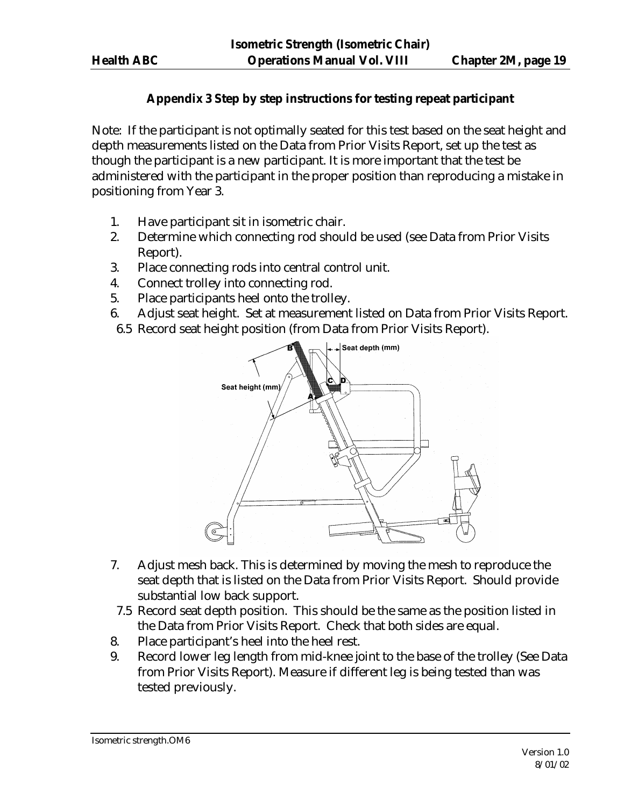## **Appendix 3 Step by step instructions for testing repeat participant**

Note: If the participant is not optimally seated for this test based on the seat height and depth measurements listed on the Data from Prior Visits Report, set up the test as though the participant is a new participant. It is more important that the test be administered with the participant in the proper position than reproducing a mistake in positioning from Year 3.

- 1. Have participant sit in isometric chair.
- 2. Determine which connecting rod should be used (see Data from Prior Visits Report).
- 3. Place connecting rods into central control unit.
- 4. Connect trolley into connecting rod.
- 5. Place participants heel onto the trolley.
- 6. Adjust seat height. Set at measurement listed on Data from Prior Visits Report.
- 6.5 Record seat height position (from Data from Prior Visits Report).



- 7. Adjust mesh back. This is determined by moving the mesh to reproduce the seat depth that is listed on the Data from Prior Visits Report. Should provide substantial low back support.
- 7.5 Record seat depth position. This should be the same as the position listed in the Data from Prior Visits Report. Check that both sides are equal.
- 8. Place participant's heel into the heel rest.
- 9. Record lower leg length from mid-knee joint to the base of the trolley (See Data from Prior Visits Report). Measure if different leg is being tested than was tested previously.